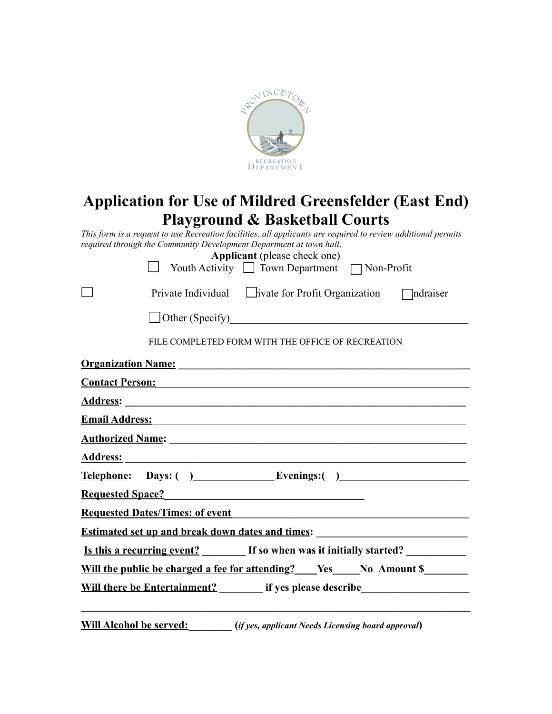

# **Application for Use of Mildred Greensfelder (East End) Playground & Basketball Courts**

This form is a request to use Recreation facilities, all applicants are required to review additional permits *required through the Community Development Department at town hall*.

|                       | <b>Applicant</b> (please check one) |                   |
|-----------------------|-------------------------------------|-------------------|
| <b>Youth Activity</b> | $\Box$ Town Department              | $\Box$ Non-Profit |

| Private Individual | $\Box$ ivate for Profit Organization | $\Box$ ndraiser |
|--------------------|--------------------------------------|-----------------|
|--------------------|--------------------------------------|-----------------|

 $\Box$  Other (Specify)

П

FILE COMPLETED FORM WITH THE OFFICE OF RECREATION

| Organization Name: 1998 and 2008 and 2008 and 2008 and 2008 and 2008 and 2008 and 2008 and 2008 and 2008 and 20                                                                                                                |
|--------------------------------------------------------------------------------------------------------------------------------------------------------------------------------------------------------------------------------|
| <u>Contact Person:</u> Contact Person:                                                                                                                                                                                         |
|                                                                                                                                                                                                                                |
| Email Address: No. 1996. The Contract of the Contract of the Contract of the Contract of the Contract of the Contract of the Contract of the Contract of the Contract of the Contract of the Contract of the Contract of the C |
| <b>Authorized Name:</b> <u>Authorized Name</u> :                                                                                                                                                                               |
|                                                                                                                                                                                                                                |
| <u>Telephone</u> : Days: ( ) Evenings: ( )                                                                                                                                                                                     |
| <b>Requested Space?</b> Manual Manual Manual Manual Manual Manual Manual Manual Manual Manual Manual Manual Manual Ma                                                                                                          |
| <b>Requested Dates/Times: of event <i>Requested Dates/Times: of event</i></b>                                                                                                                                                  |
|                                                                                                                                                                                                                                |
| <u>Is this a recurring event?</u> If so when was it initially started?                                                                                                                                                         |
|                                                                                                                                                                                                                                |
| <b>Will there be Entertainment?</b> if yes please describe                                                                                                                                                                     |
|                                                                                                                                                                                                                                |

**Will Alcohol be served:\_\_\_\_\_\_\_\_ (***if yes, applicant Needs Licensing board approval***)**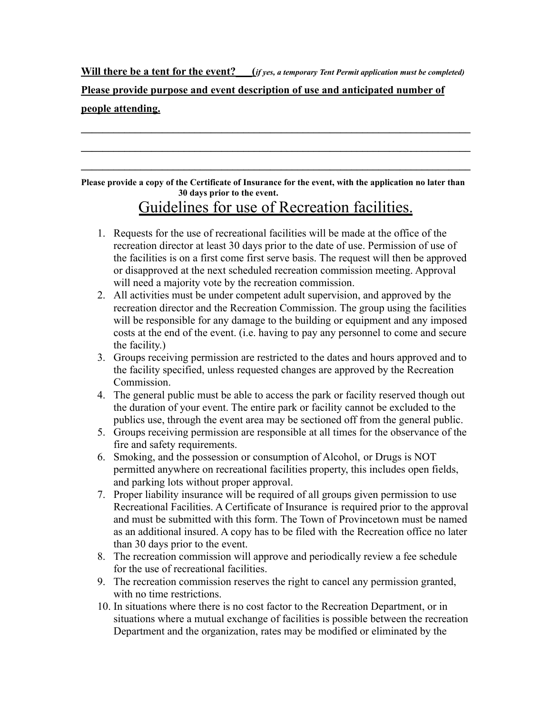### Will there be a tent for the event? (*if yes, a temporary Tent Permit application must be completed)*

### **Please provide purpose and event description of use and anticipated number of people attending.**

Please provide a copy of the Certificate of Insurance for the event, with the application no later than **30 days prior to the event.**

**\_\_\_\_\_\_\_\_\_\_\_\_\_\_\_\_\_\_\_\_\_\_\_\_\_\_\_\_\_\_\_\_\_\_\_\_\_\_\_\_\_\_\_\_\_\_\_\_\_\_\_\_\_\_\_\_\_\_\_\_\_\_\_\_\_\_\_\_\_\_\_\_**

 $\mathcal{L}_\mathcal{L} = \{ \mathcal{L}_\mathcal{L} = \{ \mathcal{L}_\mathcal{L} = \{ \mathcal{L}_\mathcal{L} = \{ \mathcal{L}_\mathcal{L} = \{ \mathcal{L}_\mathcal{L} = \{ \mathcal{L}_\mathcal{L} = \{ \mathcal{L}_\mathcal{L} = \{ \mathcal{L}_\mathcal{L} = \{ \mathcal{L}_\mathcal{L} = \{ \mathcal{L}_\mathcal{L} = \{ \mathcal{L}_\mathcal{L} = \{ \mathcal{L}_\mathcal{L} = \{ \mathcal{L}_\mathcal{L} = \{ \mathcal{L}_\mathcal{$ 

**\_\_\_\_\_\_\_\_\_\_\_\_\_\_\_\_\_\_\_\_\_\_\_\_\_\_\_\_\_\_\_\_\_\_\_\_\_\_\_\_\_\_\_\_\_\_\_\_\_\_\_\_\_\_\_\_\_\_\_\_\_\_\_\_\_\_\_\_\_\_\_\_**

## Guidelines for use of Recreation facilities.

- 1. Requests for the use of recreational facilities will be made at the office of the recreation director at least 30 days prior to the date of use. Permission of use of the facilities is on a first come first serve basis. The request will then be approved or disapproved at the next scheduled recreation commission meeting. Approval will need a majority vote by the recreation commission.
- 2. All activities must be under competent adult supervision, and approved by the recreation director and the Recreation Commission. The group using the facilities will be responsible for any damage to the building or equipment and any imposed costs at the end of the event. (i.e. having to pay any personnel to come and secure the facility.)
- 3. Groups receiving permission are restricted to the dates and hours approved and to the facility specified, unless requested changes are approved by the Recreation Commission.
- 4. The general public must be able to access the park or facility reserved though out the duration of your event. The entire park or facility cannot be excluded to the publics use, through the event area may be sectioned off from the general public.
- 5. Groups receiving permission are responsible at all times for the observance of the fire and safety requirements.
- 6. Smoking, and the possession or consumption of Alcohol, or Drugs is NOT permitted anywhere on recreational facilities property, this includes open fields, and parking lots without proper approval.
- 7. Proper liability insurance will be required of all groups given permission to use Recreational Facilities. A Certificate of Insurance is required prior to the approval and must be submitted with this form. The Town of Provincetown must be named as an additional insured. A copy has to be filed with the Recreation office no later than 30 days prior to the event.
- 8. The recreation commission will approve and periodically review a fee schedule for the use of recreational facilities.
- 9. The recreation commission reserves the right to cancel any permission granted, with no time restrictions.
- 10. In situations where there is no cost factor to the Recreation Department, or in situations where a mutual exchange of facilities is possible between the recreation Department and the organization, rates may be modified or eliminated by the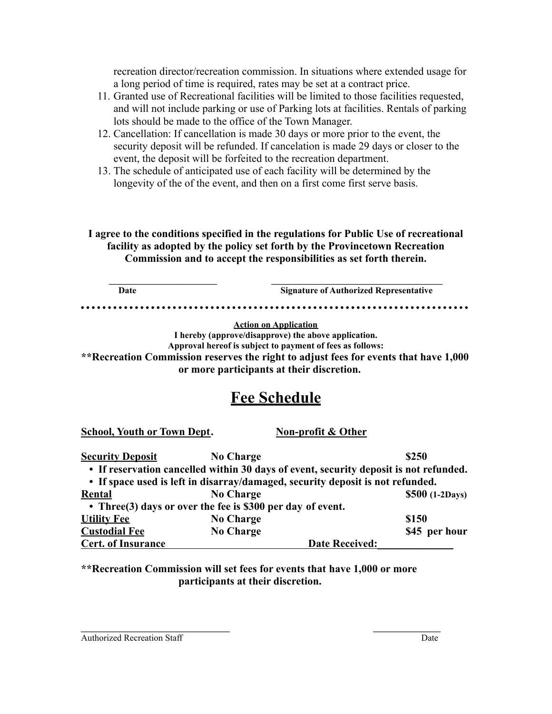recreation director/recreation commission. In situations where extended usage for a long period of time is required, rates may be set at a contract price.

- 11. Granted use of Recreational facilities will be limited to those facilities requested, and will not include parking or use of Parking lots at facilities. Rentals of parking lots should be made to the office of the Town Manager.
- 12. Cancellation: If cancellation is made 30 days or more prior to the event, the security deposit will be refunded. If cancelation is made 29 days or closer to the event, the deposit will be forfeited to the recreation department.
- 13. The schedule of anticipated use of each facility will be determined by the longevity of the of the event, and then on a first come first serve basis.

**I agree to the conditions specified in the regulations for Public Use of recreational facility as adopted by the policy set forth by the Provincetown Recreation Commission and to accept the responsibilities as set forth therein.**

**Date Signature of Authorized Representative**

**Action on Application**

**I hereby (approve/disapprove) the above application.**

**Approval hereof is subject to payment of fees as follows: \*\*Recreation Commission reserves the right to adjust fees for events that have 1,000**

**or more participants at their discretion.**

# **Fee Schedule**

**School, Youth or Town Dept. Non-profit & Other**

| <b>Security Deposit</b>   | <b>No Charge</b>                                                                      | \$250            |
|---------------------------|---------------------------------------------------------------------------------------|------------------|
|                           | • If reservation cancelled within 30 days of event, security deposit is not refunded. |                  |
|                           | • If space used is left in disarray/damaged, security deposit is not refunded.        |                  |
| Rental                    | <b>No Charge</b>                                                                      | $$500$ (1-2Days) |
|                           | • Three (3) days or over the fee is \$300 per day of event.                           |                  |
| <b>Utility Fee</b>        | <b>No Charge</b>                                                                      | \$150            |
| <b>Custodial Fee</b>      | <b>No Charge</b>                                                                      | \$45 per hour    |
| <b>Cert. of Insurance</b> | <b>Date Received:</b>                                                                 |                  |

**\*\*Recreation Commission will set fees for events that have 1,000 or more participants at their discretion.**